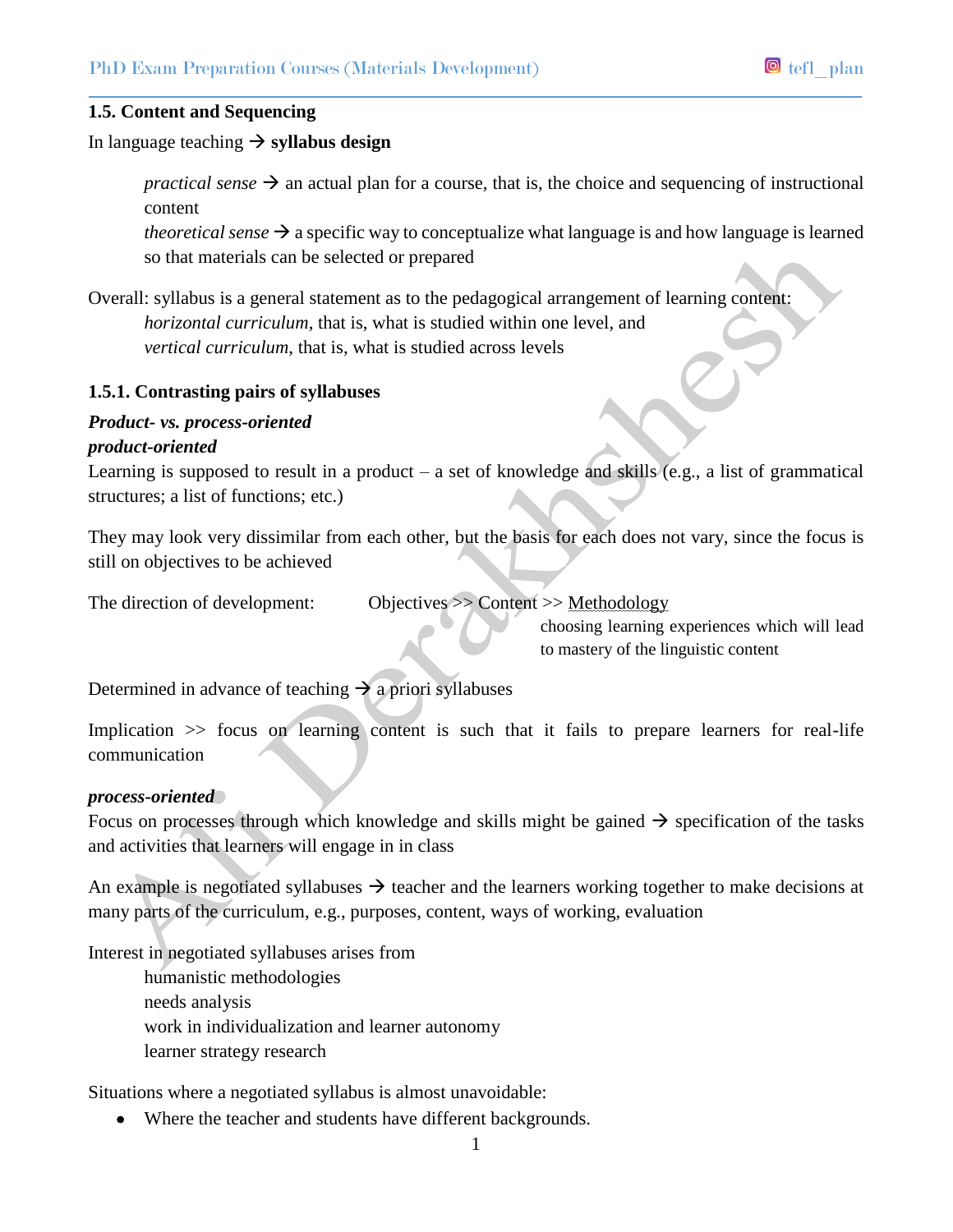## **1.5. Content and Sequencing**

In language teaching  $\rightarrow$  syllabus design

*practical sense*  $\rightarrow$  an actual plan for a course, that is, the choice and sequencing of instructional content

*theoretical sense*  $\rightarrow$  a specific way to conceptualize what language is and how language is learned so that materials can be selected or prepared

Overall: syllabus is a general statement as to the pedagogical arrangement of learning content: *horizontal curriculum*, that is, what is studied within one level, and *vertical curriculum*, that is, what is studied across levels

#### **1.5.1. Contrasting pairs of syllabuses**

### *Product- vs. process-oriented product-oriented*

Learning is supposed to result in a product – a set of knowledge and skills (e.g., a list of grammatical structures; a list of functions; etc.)

They may look very dissimilar from each other, but the basis for each does not vary, since the focus is still on objectives to be achieved

The direction of development: Objectives >> Content >> Methodology

choosing learning experiences which will lead to mastery of the linguistic content

Determined in advance of teaching  $\rightarrow$  a priori syllabuses

Implication  $\gg$  focus on learning content is such that it fails to prepare learners for real-life communication

#### *process-oriented*

Focus on processes through which knowledge and skills might be gained  $\rightarrow$  specification of the tasks and activities that learners will engage in in class

An example is negotiated syllabuses  $\rightarrow$  teacher and the learners working together to make decisions at many parts of the curriculum, e.g., purposes, content, ways of working, evaluation

Interest in negotiated syllabuses arises from

humanistic methodologies needs analysis work in individualization and learner autonomy learner strategy research

Situations where a negotiated syllabus is almost unavoidable:

Where the teacher and students have different backgrounds.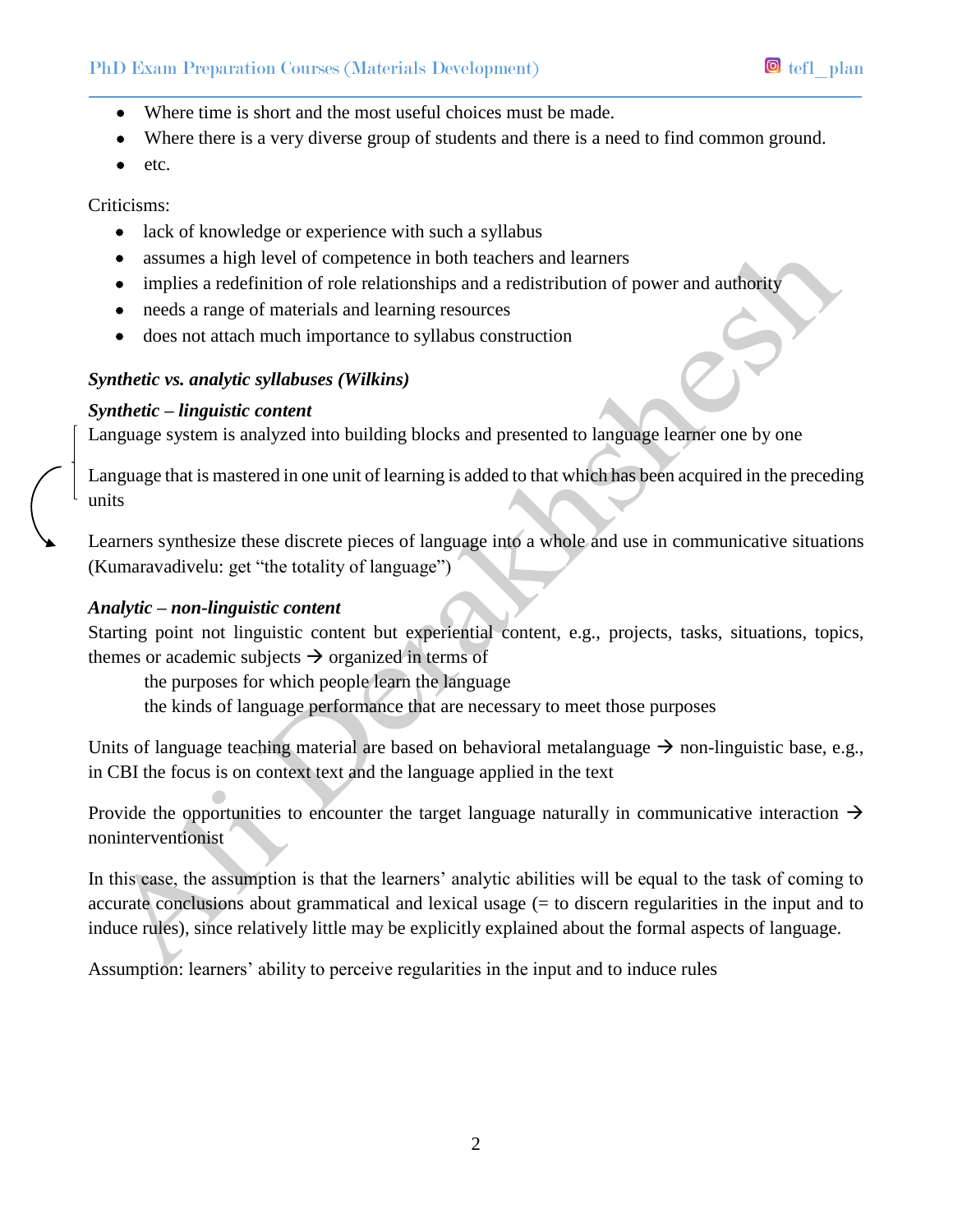- Where time is short and the most useful choices must be made.
- Where there is a very diverse group of students and there is a need to find common ground.
- $\bullet$  etc.

Criticisms:

- lack of knowledge or experience with such a syllabus
- assumes a high level of competence in both teachers and learners
- implies a redefinition of role relationships and a redistribution of power and authority
- needs a range of materials and learning resources
- does not attach much importance to syllabus construction

# *Synthetic vs. analytic syllabuses (Wilkins)*

# *Synthetic – linguistic content*

Language system is analyzed into building blocks and presented to language learner one by one

Language that is mastered in one unit of learning is added to that which has been acquired in the preceding units

Learners synthesize these discrete pieces of language into a whole and use in communicative situations (Kumaravadivelu: get "the totality of language")

## *Analytic – non-linguistic content*

Starting point not linguistic content but experiential content, e.g., projects, tasks, situations, topics, themes or academic subjects  $\rightarrow$  organized in terms of

the purposes for which people learn the language

the kinds of language performance that are necessary to meet those purposes

Units of language teaching material are based on behavioral metalanguage  $\rightarrow$  non-linguistic base, e.g., in CBI the focus is on context text and the language applied in the text

Provide the opportunities to encounter the target language naturally in communicative interaction  $\rightarrow$ noninterventionist

In this case, the assumption is that the learners' analytic abilities will be equal to the task of coming to accurate conclusions about grammatical and lexical usage (= to discern regularities in the input and to induce rules), since relatively little may be explicitly explained about the formal aspects of language.

Assumption: learners' ability to perceive regularities in the input and to induce rules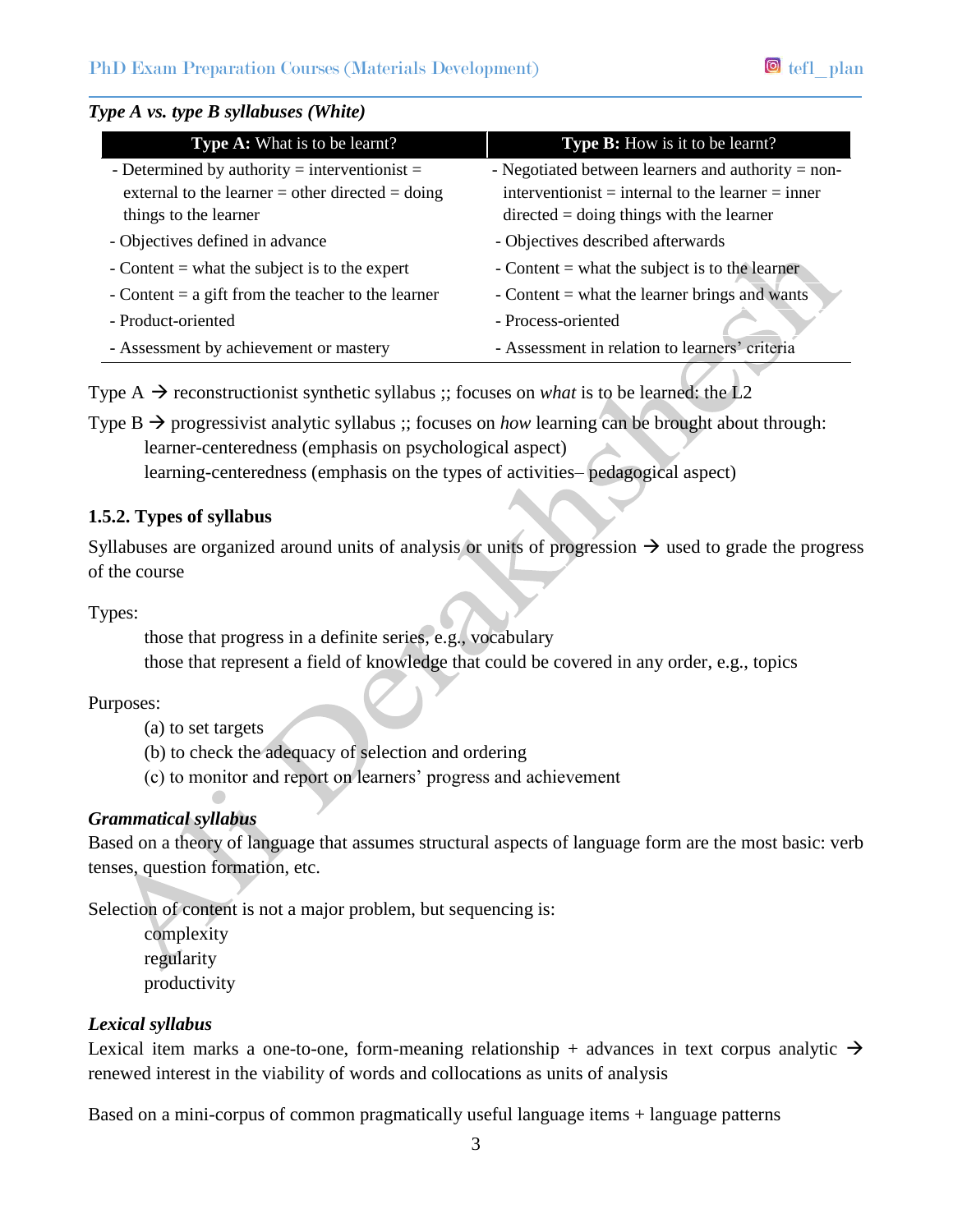## *Type A vs. type B syllabuses (White)*

| <b>Type A:</b> What is to be learnt?                 | Type B: How is it to be learnt?                      |  |  |  |
|------------------------------------------------------|------------------------------------------------------|--|--|--|
| - Determined by authority = interventionist =        | - Negotiated between learners and authority $=$ non- |  |  |  |
| external to the learner = other directed = doing     | interventionist = internal to the learner = inner    |  |  |  |
| things to the learner                                | $directed = doing things with the learner$           |  |  |  |
| - Objectives defined in advance                      | - Objectives described afterwards                    |  |  |  |
| - Content $=$ what the subject is to the expert      | - Content $=$ what the subject is to the learner     |  |  |  |
| - Content $=$ a gift from the teacher to the learner | - Content $=$ what the learner brings and wants      |  |  |  |
| - Product-oriented                                   | - Process-oriented                                   |  |  |  |
| - Assessment by achievement or mastery               | - Assessment in relation to learners' criteria       |  |  |  |

Type  $A \rightarrow$  reconstructionist synthetic syllabus ;; focuses on *what* is to be learned: the L2

Type  $B \rightarrow$  progressivist analytic syllabus ;; focuses on *how* learning can be brought about through: learner-centeredness (emphasis on psychological aspect) learning-centeredness (emphasis on the types of activities– pedagogical aspect)

## **1.5.2. Types of syllabus**

Syllabuses are organized around units of analysis or units of progression  $\rightarrow$  used to grade the progress of the course

Types:

those that progress in a definite series, e.g., vocabulary those that represent a field of knowledge that could be covered in any order, e.g., topics

Purposes:

- (a) to set targets
- (b) to check the adequacy of selection and ordering
- (c) to monitor and report on learners' progress and achievement

# *Grammatical syllabus*

Based on a theory of language that assumes structural aspects of language form are the most basic: verb tenses, question formation, etc.

Selection of content is not a major problem, but sequencing is:

complexity regularity productivity

# *Lexical syllabus*

Lexical item marks a one-to-one, form-meaning relationship + advances in text corpus analytic  $\rightarrow$ renewed interest in the viability of words and collocations as units of analysis

Based on a mini-corpus of common pragmatically useful language items + language patterns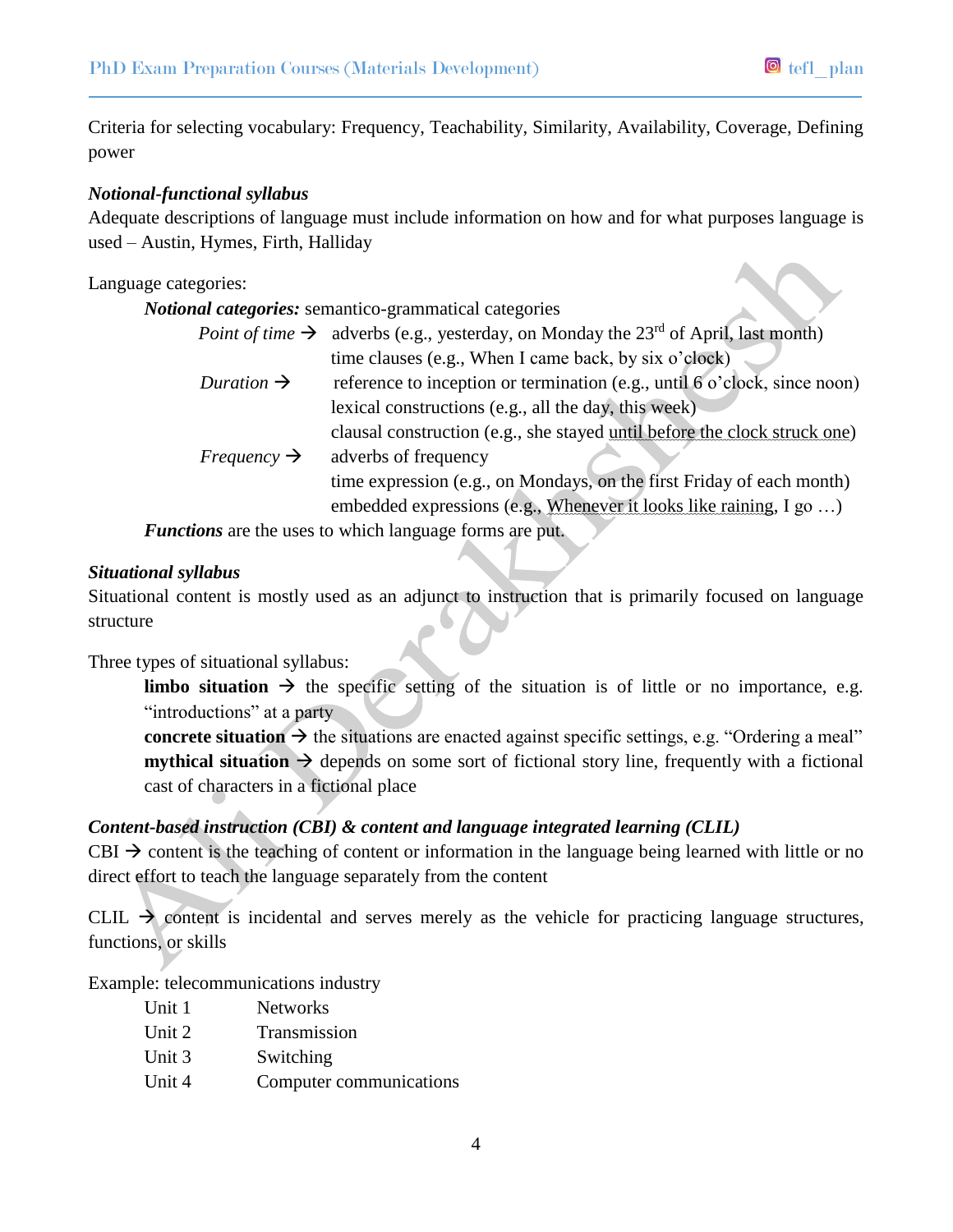Criteria for selecting vocabulary: Frequency, Teachability, Similarity, Availability, Coverage, Defining power

### *Notional-functional syllabus*

Adequate descriptions of language must include information on how and for what purposes language is used – Austin, Hymes, Firth, Halliday

#### Language categories:

|                         | <i>Notional categories:</i> semantico-grammatical categories                                                      |
|-------------------------|-------------------------------------------------------------------------------------------------------------------|
|                         | <i>Point of time</i> $\rightarrow$ adverbs (e.g., yesterday, on Monday the 23 <sup>rd</sup> of April, last month) |
|                         | time clauses (e.g., When I came back, by six o'clock)                                                             |
| Duration $\rightarrow$  | reference to inception or termination (e.g., until 6 o'clock, since noon)                                         |
|                         | lexical constructions (e.g., all the day, this week)                                                              |
|                         | clausal construction (e.g., she stayed until before the clock struck one)                                         |
| Frequency $\rightarrow$ | adverbs of frequency                                                                                              |
|                         | time expression (e.g., on Mondays, on the first Friday of each month)                                             |
|                         | embedded expressions (e.g., Whenever it looks like raining, I go )                                                |
|                         |                                                                                                                   |

*Functions* are the uses to which language forms are put.

#### *Situational syllabus*

Situational content is mostly used as an adjunct to instruction that is primarily focused on language structure

Three types of situational syllabus:

**limbo** situation  $\rightarrow$  the specific setting of the situation is of little or no importance, e.g. "introductions" at a party

**concrete situation**  $\rightarrow$  the situations are enacted against specific settings, e.g. "Ordering a meal" **mythical situation**  $\rightarrow$  depends on some sort of fictional story line, frequently with a fictional cast of characters in a fictional place

## *Content-based instruction (CBI) & content and language integrated learning (CLIL)*

CBI  $\rightarrow$  content is the teaching of content or information in the language being learned with little or no direct effort to teach the language separately from the content

CLIL  $\rightarrow$  content is incidental and serves merely as the vehicle for practicing language structures, functions, or skills

Example: telecommunications industry

| Unit 1 | <b>Networks</b>         |
|--------|-------------------------|
| Unit 2 | Transmission            |
| Unit 3 | Switching               |
| Unit 4 | Computer communications |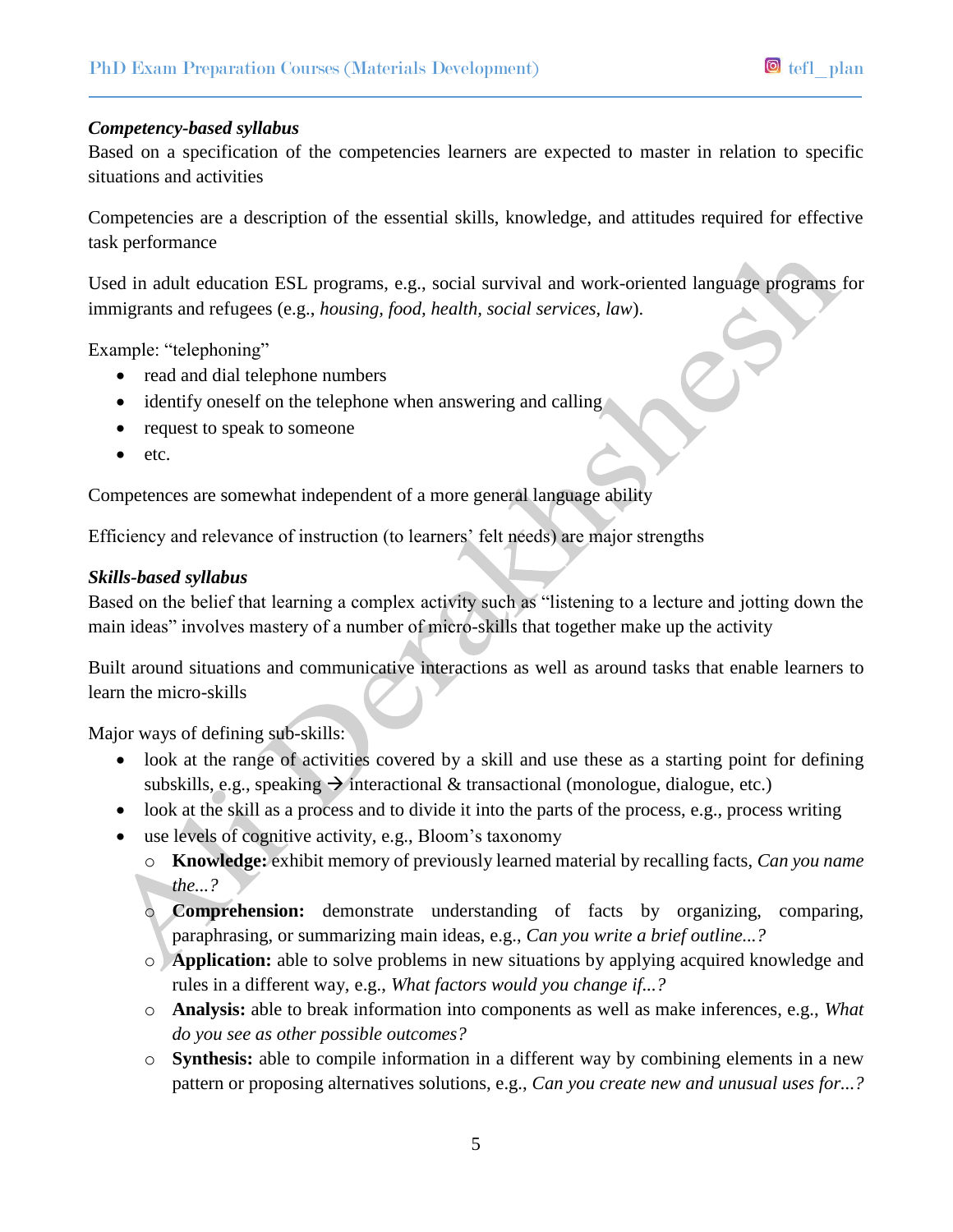#### *Competency-based syllabus*

Based on a specification of the competencies learners are expected to master in relation to specific situations and activities

Competencies are a description of the essential skills, knowledge, and attitudes required for effective task performance

Used in adult education ESL programs, e.g., social survival and work-oriented language programs for immigrants and refugees (e.g., *housing, food, health, social services, law*).

Example: "telephoning"

- read and dial telephone numbers
- $\bullet$  identify oneself on the telephone when answering and calling
- request to speak to someone
- $etc.$

Competences are somewhat independent of a more general language ability

Efficiency and relevance of instruction (to learners' felt needs) are major strengths

#### *Skills-based syllabus*

Based on the belief that learning a complex activity such as "listening to a lecture and jotting down the main ideas" involves mastery of a number of micro-skills that together make up the activity

Built around situations and communicative interactions as well as around tasks that enable learners to learn the micro-skills

Major ways of defining sub-skills:

- look at the range of activities covered by a skill and use these as a starting point for defining subskills, e.g., speaking  $\rightarrow$  interactional & transactional (monologue, dialogue, etc.)
- look at the skill as a process and to divide it into the parts of the process, e.g., process writing
- use levels of cognitive activity, e.g., Bloom's taxonomy
	- o **Knowledge:** exhibit memory of previously learned material by recalling facts, *Can you name the...?*
	- o **Comprehension:** demonstrate understanding of facts by organizing, comparing, paraphrasing, or summarizing main ideas, e.g., *Can you write a brief outline...?*
	- o **Application:** able to solve problems in new situations by applying acquired knowledge and rules in a different way, e.g., *What factors would you change if...?*
	- o **Analysis:** able to break information into components as well as make inferences, e.g., *What do you see as other possible outcomes?*
	- o **Synthesis:** able to compile information in a different way by combining elements in a new pattern or proposing alternatives solutions, e.g., *Can you create new and unusual uses for...?*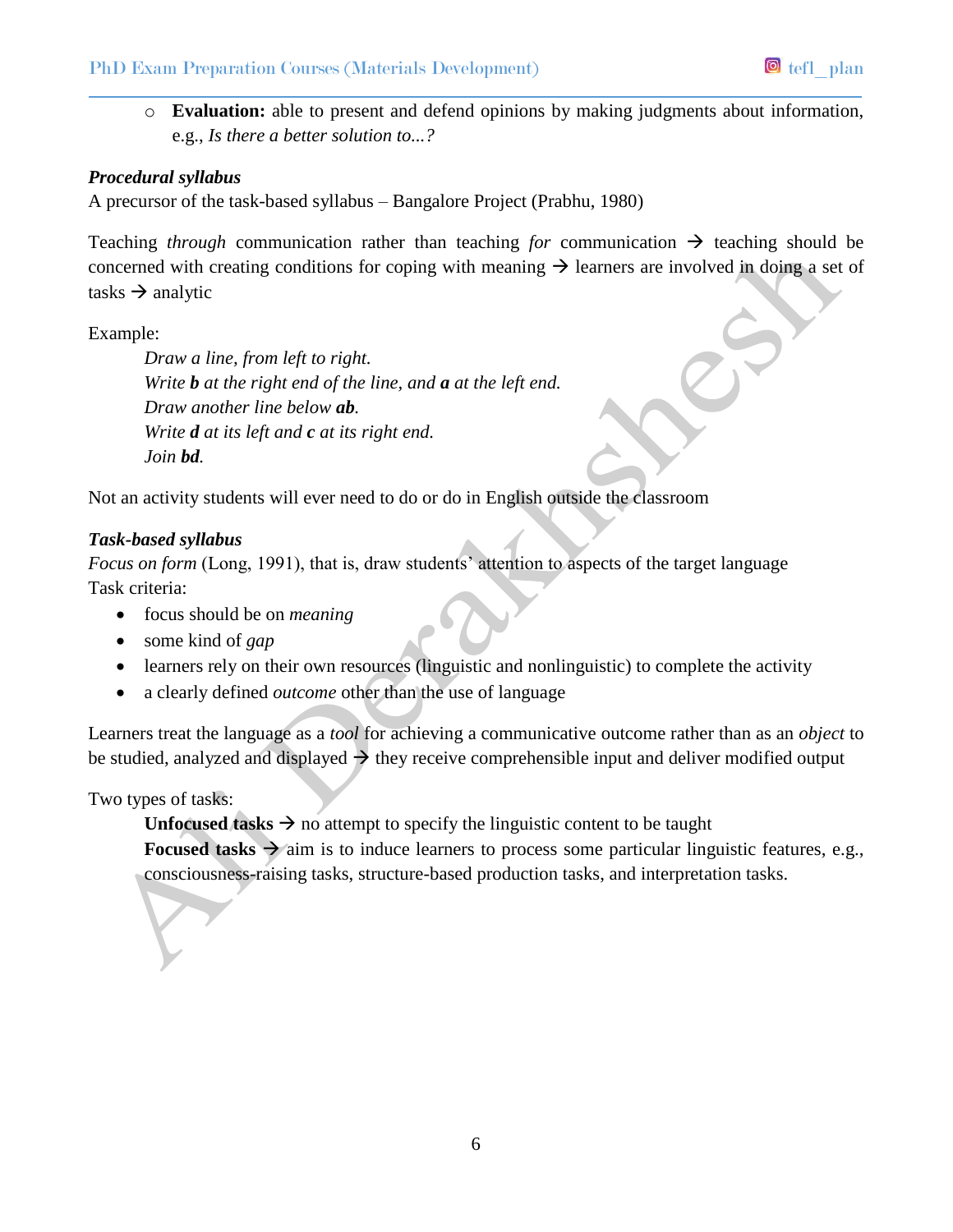o **Evaluation:** able to present and defend opinions by making judgments about information, e.g., *Is there a better solution to...?* 

# *Procedural syllabus*

A precursor of the task-based syllabus – Bangalore Project (Prabhu, 1980)

Teaching *through* communication rather than teaching *for* communication  $\rightarrow$  teaching should be concerned with creating conditions for coping with meaning  $\rightarrow$  learners are involved in doing a set of tasks  $\rightarrow$  analytic

Example:

*Draw a line, from left to right. Write b at the right end of the line, and a at the left end. Draw another line below ab. Write d at its left and c at its right end. Join bd.* 

Not an activity students will ever need to do or do in English outside the classroom

# *Task-based syllabus*

*Focus on form* (Long, 1991), that is, draw students' attention to aspects of the target language Task criteria:

- focus should be on *meaning*
- some kind of *gap*
- learners rely on their own resources (linguistic and nonlinguistic) to complete the activity
- a clearly defined *outcome* other than the use of language

Learners treat the language as a *tool* for achieving a communicative outcome rather than as an *object* to be studied, analyzed and displayed  $\rightarrow$  they receive comprehensible input and deliver modified output

Two types of tasks:

**Unfocused tasks**  $\rightarrow$  no attempt to specify the linguistic content to be taught

**Focused tasks**  $\rightarrow$  aim is to induce learners to process some particular linguistic features, e.g., consciousness-raising tasks, structure-based production tasks, and interpretation tasks.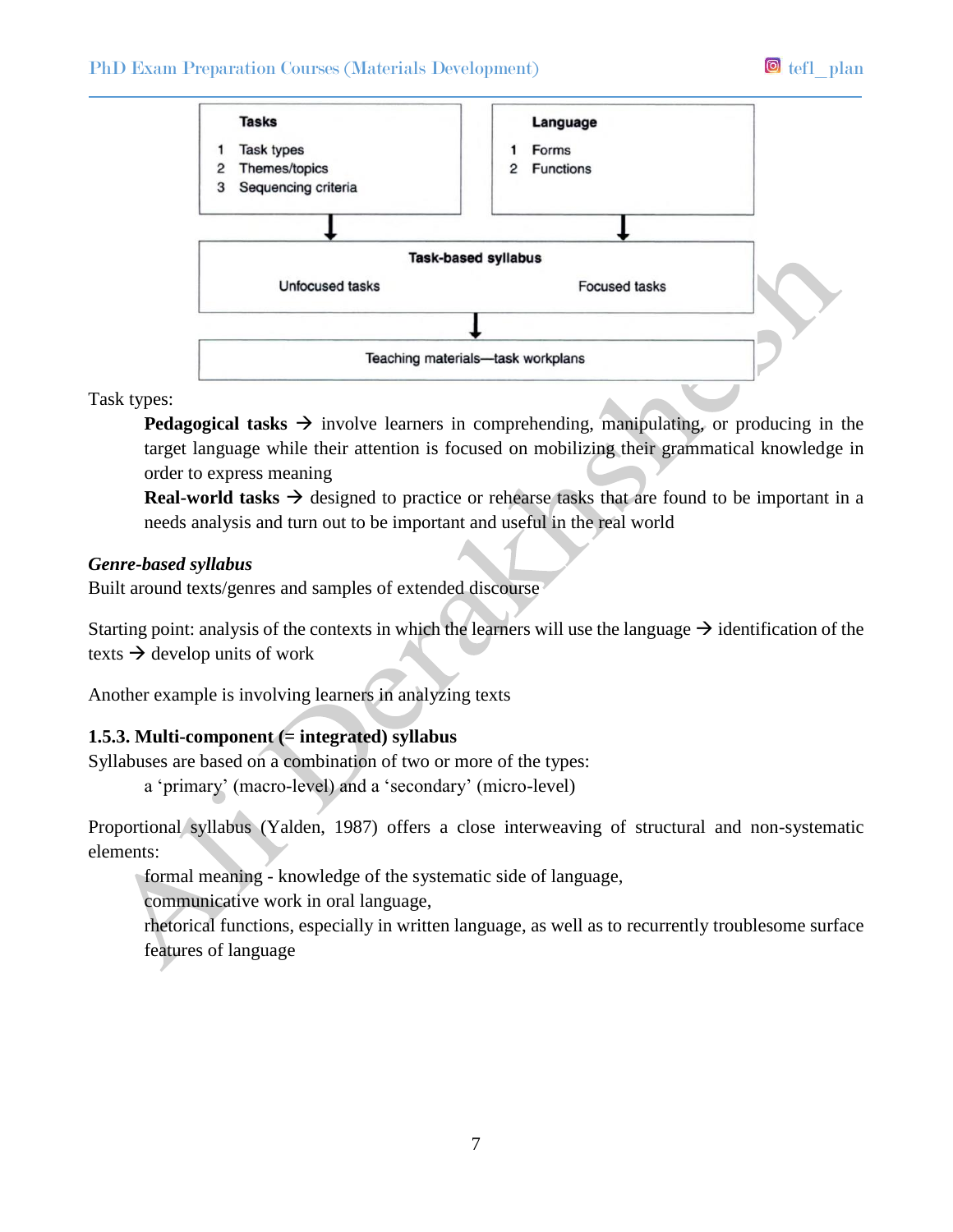# PhD Exam Preparation Courses (Materials Development) **D** tefl plan



Task types:

**Pedagogical tasks**  $\rightarrow$  involve learners in comprehending, manipulating, or producing in the target language while their attention is focused on mobilizing their grammatical knowledge in order to express meaning

**Real-world tasks**  $\rightarrow$  designed to practice or rehearse tasks that are found to be important in a needs analysis and turn out to be important and useful in the real world

#### *Genre-based syllabus*

Built around texts/genres and samples of extended discourse

Starting point: analysis of the contexts in which the learners will use the language  $\rightarrow$  identification of the texts  $\rightarrow$  develop units of work

Another example is involving learners in analyzing texts

## **1.5.3. Multi-component (= integrated) syllabus**

Syllabuses are based on a combination of two or more of the types:

a 'primary' (macro-level) and a 'secondary' (micro-level)

Proportional syllabus (Yalden, 1987) offers a close interweaving of structural and non-systematic elements:

formal meaning - knowledge of the systematic side of language,

communicative work in oral language,

rhetorical functions, especially in written language, as well as to recurrently troublesome surface features of language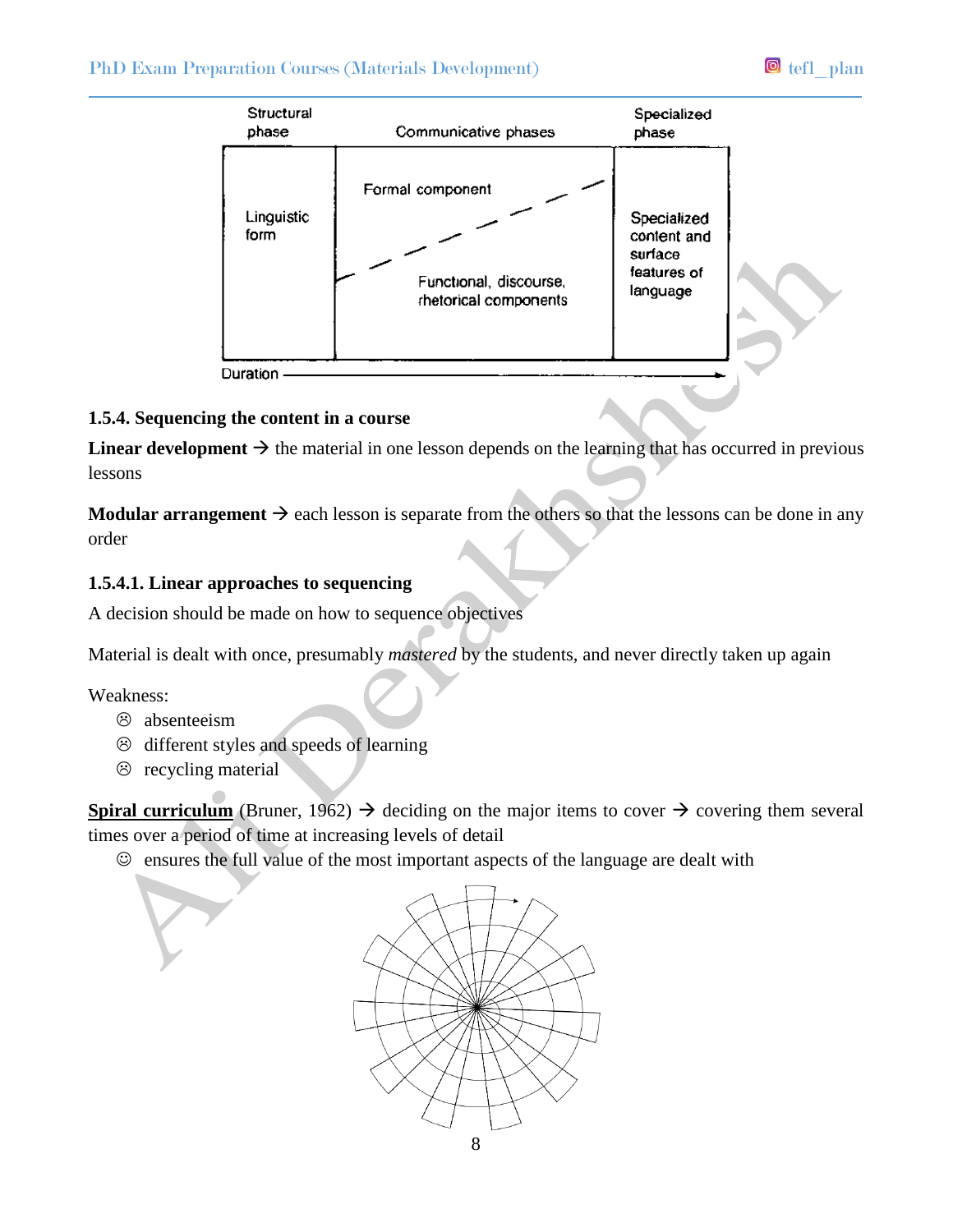# PhD Exam Preparation Courses (Materials Development) **D** tefl plan



#### **1.5.4. Sequencing the content in a course**

**Linear development**  $\rightarrow$  the material in one lesson depends on the learning that has occurred in previous lessons

**Modular arrangement**  $\rightarrow$  each lesson is separate from the others so that the lessons can be done in any order

#### **1.5.4.1. Linear approaches to sequencing**

A decision should be made on how to sequence objectives

Material is dealt with once, presumably *mastered* by the students, and never directly taken up again

Weakness:

- absenteeism
- $\odot$  different styles and speeds of learning
- $\circledcirc$  recycling material

**Spiral curriculum** (Bruner, 1962)  $\rightarrow$  deciding on the major items to cover  $\rightarrow$  covering them several times over a period of time at increasing levels of detail

 $\odot$  ensures the full value of the most important aspects of the language are dealt with